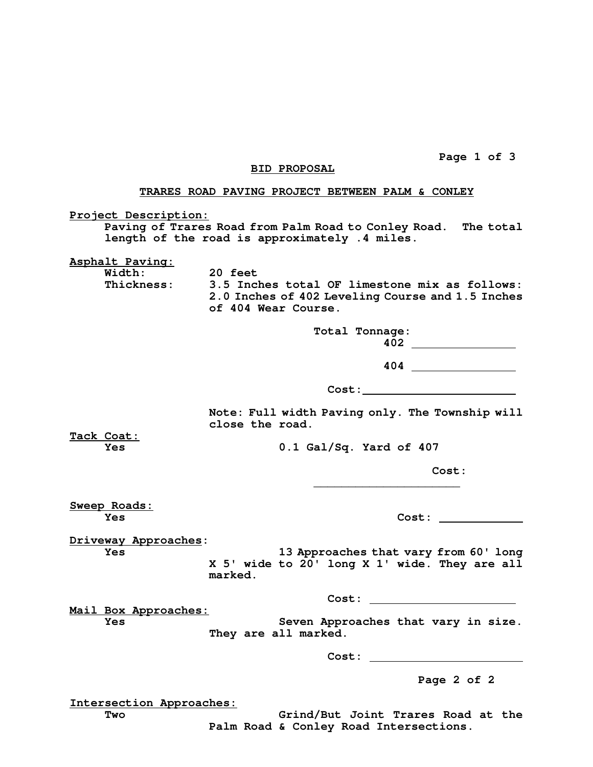**Page 1 of 3** 

## **BID PROPOSAL**

## **TRARES ROAD PAVING PROJECT BETWEEN PALM & CONLEY**

**Project Description:**

 **Paving of Trares Road from Palm Road to Conley Road. The total length of the road is approximately .4 miles.** 

**Asphalt Paving:**

 **Width: 20 feet** 

**Thickness: 3.5 Inches total OF limestone mix as follows: 2.0 Inches of 402 Leveling Course and 1.5 Inches of 404 Wear Course.** 

> **Total Tonnage: 402**

**\_\_\_\_\_\_\_\_\_\_\_\_\_\_\_\_\_\_\_\_\_** 

**404** 

 **Cost:** 

**Note: Full width Paving only. The Township will close the road.** 

**Tack Coat:**

**Yes 0.1 Gal/Sq. Yard of 407** 

 **Cost:** 

**Sweep Roads:**

 $Cost:$ 

**Driveway Approaches:** 

**Yes 13 Approaches that vary from 60' long X 5' wide to 20' long X 1' wide. They are all marked.** 

 **Cost:** 

**Mail Box Approaches:** 

Yes **Seven Approaches that vary in size. They are all marked.** 

 **Cost:** 

**Page 2 of 2** 

**Intersection Approaches:**

**Two Grind/But Joint Trares Road at the Palm Road & Conley Road Intersections.**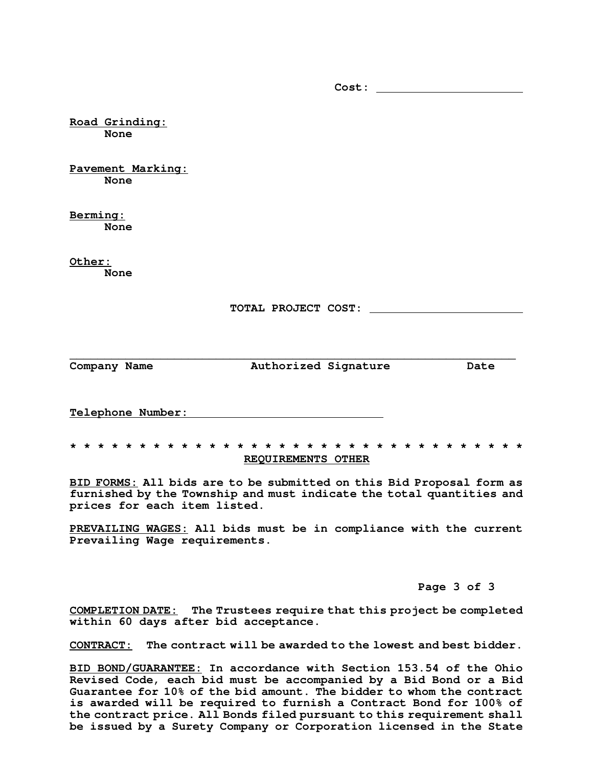**Road Grinding: None Pavement Marking: None Berming: None Other: None TOTAL PROJECT COST:**  \_\_\_\_\_\_\_\_\_\_\_\_\_\_\_\_\_\_\_\_\_\_\_\_\_\_\_\_\_\_\_\_\_\_\_\_\_\_\_\_\_\_\_\_\_\_\_\_\_\_\_\_\_\_\_\_\_\_\_\_\_\_\_\_ **Company Name Authorized Signature Date Telephone Number:** 

 **Cost:** 

## **\* \* \* \* \* \* \* \* \* \* \* \* \* \* \* \* \* \* \* \* \* \* \* \* \* \* \* \* \* \* \* \* \* REQUIREMENTS OTHER**

**BID FORMS: All bids are to be submitted on this Bid Proposal form as furnished by the Township and must indicate the total quantities and prices for each item listed.** 

**PREVAILING WAGES: All bids must be in compliance with the current Prevailing Wage requirements.** 

## **Page 3 of 3**

**COMPLETION DATE: The Trustees require that this project be completed within 60 days after bid acceptance.** 

**CONTRACT: The contract will be awarded to the lowest and best bidder.** 

**BID BOND/GUARANTEE: In accordance with Section 153.54 of the Ohio Revised Code, each bid must be accompanied by a Bid Bond or a Bid Guarantee for 10% of the bid amount. The bidder to whom the contract is awarded will be required to furnish a Contract Bond for 100% of the contract price. All Bonds filed pursuant to this requirement shall be issued by a Surety Company or Corporation licensed in the State**